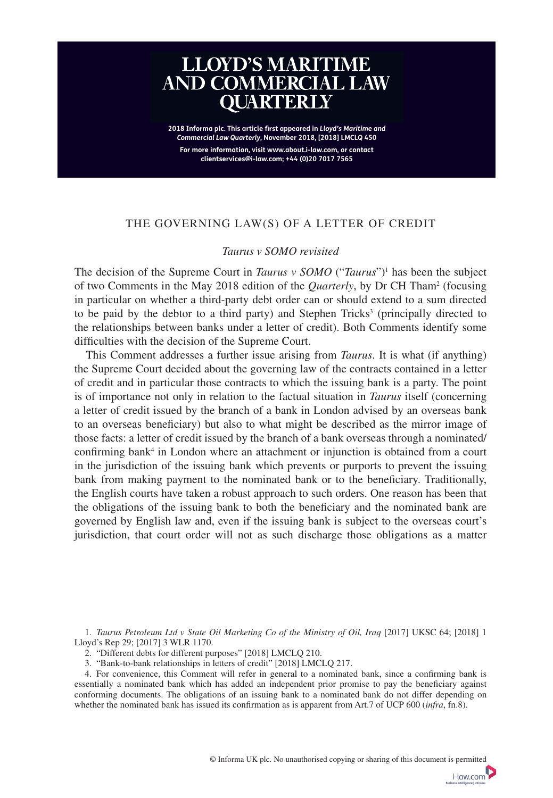# **LLOYD'S MARITIME<br>AND COMMERCIAL LAW OUARTERLY** having a larger panel but, whilst this remains the position of the position of the Supreme Court, parties of t

**CONTENTS For more information, visit www.about.i-law.com, or contact**  2018 Informa plc. This article first appeared in *Lloyd's Maritime and* **Commercial Law Quarterly, November 2018, [2018] LMCLQ 450 clientservices@i-law.com; +44 (0)20 7017 7565** 

Holiday torts and damage within the jurisdiction *(Four Seasons v Brownlie)*

# THE GOVERNING LAW(S) OF A LETTER OF CREDIT **LLOYD'S MARITIME AND COMMERCIAL LAW QUARTERLY [2018] LMCLQ 189–308 May 2018**

### *Taurus v SOMO revisited*  $R_{\text{EWHH}}$  to variation rule for guarantees  $\sim$

The decision of the Supreme Court in *Taurus v SOMO* ("*Taurus*")<sup>1</sup> has been the subject of two Comments in the May 2018 edition of the *Quarterly*, by Dr CH Tham<sup>2</sup> (focusing **Book reviews** in particular on whether a third-party debt order can or should extend to a sum directed to be paid by the debtor to a third party) and Stephen Tricks<sup>3</sup> (principally directed to the relationships between banks under a letter of credit). Both Comments identify some difficulties with the decision of the Supreme Court.

the Supreme Court decided about the governing law of the contracts contained in a letter This Comment addresses a further issue arising from *Taurus* . It is what (if anything) of credit and in particular those contracts to which the issuing bank is a party. The point is of importance not only in relation to the factual situation in *Taurus* itself (concerning a letter of credit issued by the branch of a bank in London advised by an overseas bank to an overseas beneficiary) but also to what might be described as the mirror image of those facts: a letter of credit issued by the branch of a bank overseas through a nominated/ confirming bank<sup>4</sup> in London where an attachment or injunction is obtained from a court in the jurisdiction of the issuing bank which prevents or purports to prevent the issuing bank from making payment to the nominated bank or to the beneficiary. Traditionally, the English courts have taken a robust approach to such orders. One reason has been that the obligations of the issuing bank to both the beneficiary and the nominated bank are governed by English law and, even if the issuing bank is subject to the overseas court's jurisdiction, that court order will not as such discharge those obligations as a matter

 1 . *Taurus Petroleum Ltd v State Oil Marketing Co of the Ministry of Oil, Iraq* [2017] UKSC 64; [2018] 1 Lloyd's Rep 29; [2017] 3 WLR 1170.

2. "Different debts for different purposes" [2018] LMCLQ 210.

\* Keble College, University of Oxford.

3 . "Bank-to-bank relationships in letters of credit" [2018] LMCLQ 217 .

4. For convenience, this Comment will refer in general to a nominated bank, since a confirming bank is essentially a nominated bank which has added an independent prior promise to pay the beneficiary against conforming documents. The obligations of an issuing bank to a nominated bank do not differ depending on whether the nominated bank has issued its confirmation as is apparent from Art.7 of UCP 600 (*infra*, fn.8).

i-law.com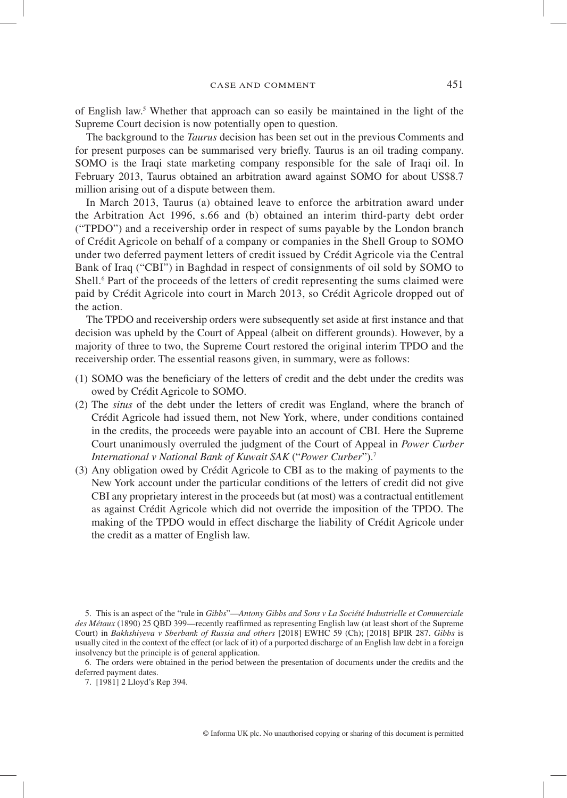of English law. 5 Whether that approach can so easily be maintained in the light of the Supreme Court decision is now potentially open to question.

 The background to the *Taurus* decision has been set out in the previous Comments and for present purposes can be summarised very briefly. Taurus is an oil trading company. SOMO is the Iraqi state marketing company responsible for the sale of Iraqi oil. In February 2013, Taurus obtained an arbitration award against SOMO for about US\$8.7 million arising out of a dispute between them.

 In March 2013, Taurus (a) obtained leave to enforce the arbitration award under the Arbitration Act 1996, s.66 and (b) obtained an interim third-party debt order ("TPDO") and a receivership order in respect of sums payable by the London branch of Crédit Agricole on behalf of a company or companies in the Shell Group to SOMO under two deferred payment letters of credit issued by Crédit Agricole via the Central Bank of Iraq ("CBI") in Baghdad in respect of consignments of oil sold by SOMO to Shell.<sup>6</sup> Part of the proceeds of the letters of credit representing the sums claimed were paid by Crédit Agricole into court in March 2013, so Crédit Agricole dropped out of the action.

The TPDO and receivership orders were subsequently set aside at first instance and that decision was upheld by the Court of Appeal (albeit on different grounds). However, by a majority of three to two, the Supreme Court restored the original interim TPDO and the receivership order. The essential reasons given, in summary, were as follows:

- (1) SOMO was the beneficiary of the letters of credit and the debt under the credits was owed by Crédit Agricole to SOMO.
- (2) The *situs* of the debt under the letters of credit was England, where the branch of Crédit Agricole had issued them, not New York, where, under conditions contained in the credits, the proceeds were payable into an account of CBI. Here the Supreme Court unanimously overruled the judgment of the Court of Appeal in *Power Curber International v National Bank of Kuwait SAK* ("*Power Curber*").<sup>7</sup>
- (3) Any obligation owed by Crédit Agricole to CBI as to the making of payments to the New York account under the particular conditions of the letters of credit did not give CBI any proprietary interest in the proceeds but (at most) was a contractual entitlement as against Crédit Agricole which did not override the imposition of the TPDO. The making of the TPDO would in effect discharge the liability of Crédit Agricole under the credit as a matter of English law.

 6 . The orders were obtained in the period between the presentation of documents under the credits and the deferred payment dates.

7 . [1981] 2 Lloyd's Rep 394 .

 <sup>5 .</sup> This is an aspect of the "rule in *Gibbs* "— *Antony Gibbs and Sons v La Société Industrielle et Commerciale des Métaux* (1890) 25 QBD 399—recently reaffirmed as representing English law (at least short of the Supreme Court) in *Bakhshiyeva v Sberbank of Russia and others* [2018] EWHC 59 (Ch); [2018] BPIR 287. *Gibbs* is usually cited in the context of the effect (or lack of it) of a purported discharge of an English law debt in a foreign insolvency but the principle is of general application.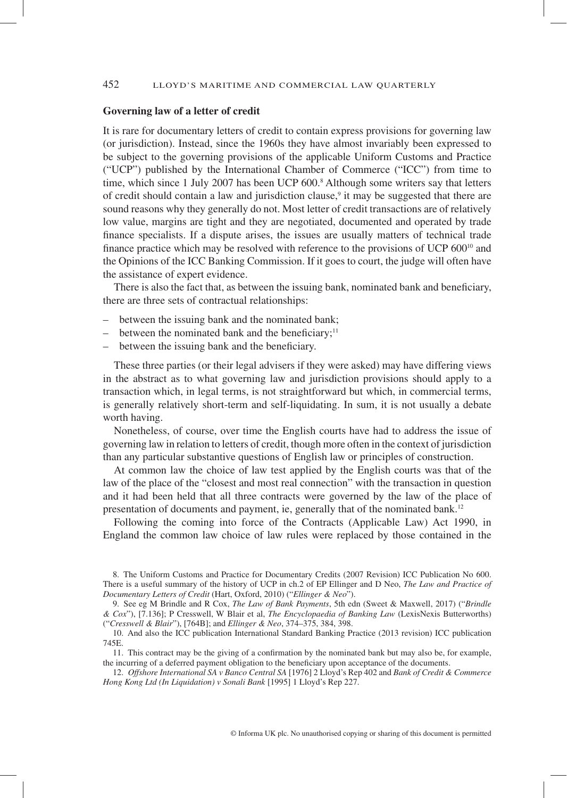### 452 LLOYD'S MARITIME AND COMMERCIAL LAW QUARTERLY

### **Governing law of a letter of credit**

 It is rare for documentary letters of credit to contain express provisions for governing law (or jurisdiction). Instead, since the 1960s they have almost invariably been expressed to be subject to the governing provisions of the applicable Uniform Customs and Practice ("UCP") published by the International Chamber of Commerce ("ICC") from time to time, which since 1 July 2007 has been UCP 600.<sup>8</sup> Although some writers say that letters of credit should contain a law and jurisdiction clause, $\theta$  it may be suggested that there are sound reasons why they generally do not. Most letter of credit transactions are of relatively low value, margins are tight and they are negotiated, documented and operated by trade finance specialists. If a dispute arises, the issues are usually matters of technical trade finance practice which may be resolved with reference to the provisions of UCP  $600<sup>10</sup>$  and the Opinions of the ICC Banking Commission. If it goes to court, the judge will often have the assistance of expert evidence.

There is also the fact that, as between the issuing bank, nominated bank and beneficiary, there are three sets of contractual relationships:

- between the issuing bank and the nominated bank;
- between the nominated bank and the beneficiary;<sup>11</sup>
- between the issuing bank and the beneficiary.

 These three parties (or their legal advisers if they were asked) may have differing views in the abstract as to what governing law and jurisdiction provisions should apply to a transaction which, in legal terms, is not straightforward but which, in commercial terms, is generally relatively short-term and self-liquidating. In sum, it is not usually a debate worth having.

 Nonetheless, of course, over time the English courts have had to address the issue of governing law in relation to letters of credit, though more often in the context of jurisdiction than any particular substantive questions of English law or principles of construction.

 At common law the choice of law test applied by the English courts was that of the law of the place of the "closest and most real connection" with the transaction in question and it had been held that all three contracts were governed by the law of the place of presentation of documents and payment, ie, generally that of the nominated bank.<sup>12</sup>

 Following the coming into force of the Contracts (Applicable Law) Act 1990, in England the common law choice of law rules were replaced by those contained in the

 <sup>8 .</sup> The Uniform Customs and Practice for Documentary Credits (2007 Revision) ICC Publication No 600. There is a useful summary of the history of UCP in ch.2 of EP Ellinger and D Neo, *The Law and Practice of Documentary Letters of Credit* (Hart, Oxford, 2010) (" *Ellinger & Neo* ").

 <sup>9 .</sup> See eg M Brindle and R Cox, *The Law of Bank Payments* , 5th edn (Sweet & Maxwell, 2017) (" *Brindle & Cox* "), [7.136]; P Cresswell, W Blair et al, *The Encyclopaedia of Banking Law* (LexisNexis Butterworths) (" *Cresswell & Blair* "), [764B]; and *Ellinger & Neo* , 374–375, 384, 398.

 <sup>10 .</sup> And also the ICC publication International Standard Banking Practice (2013 revision) ICC publication 745E.

<sup>11.</sup> This contract may be the giving of a confirmation by the nominated bank but may also be, for example, the incurring of a deferred payment obligation to the beneficiary upon acceptance of the documents.

 <sup>12 .</sup> *Offshore International SA v Banco Central SA* [1976] 2 Lloyd's Rep 402 and *Bank of Credit & Commerce Hong Kong Ltd (In Liquidation) v Sonali Bank* [1995] 1 Lloyd's Rep 227 .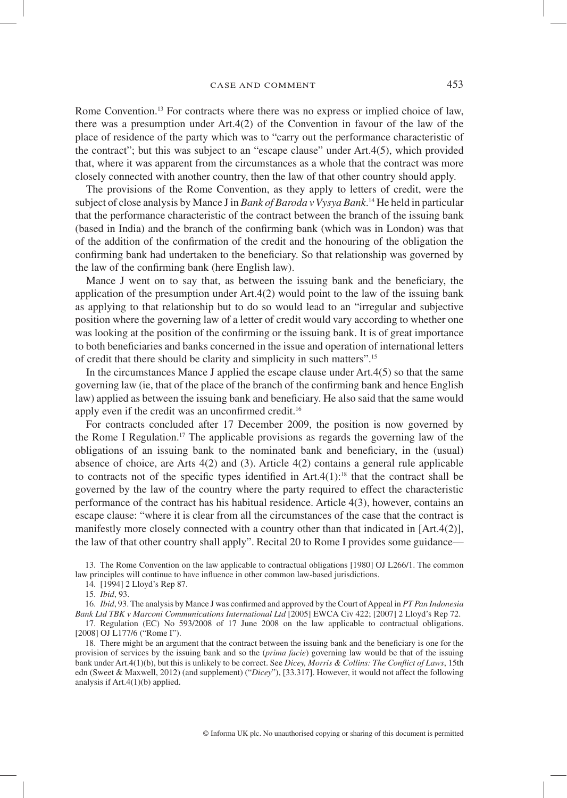Rome Convention.<sup>13</sup> For contracts where there was no express or implied choice of law, there was a presumption under Art.4(2) of the Convention in favour of the law of the place of residence of the party which was to "carry out the performance characteristic of the contract"; but this was subject to an "escape clause" under Art.4(5), which provided that, where it was apparent from the circumstances as a whole that the contract was more closely connected with another country, then the law of that other country should apply.

 The provisions of the Rome Convention, as they apply to letters of credit, were the subject of close analysis by Mance J in *Bank of Baroda v Vysya Bank* . 14 He held in particular that the performance characteristic of the contract between the branch of the issuing bank (based in India) and the branch of the confirming bank (which was in London) was that of the addition of the confirmation of the credit and the honouring of the obligation the confirming bank had undertaken to the beneficiary. So that relationship was governed by the law of the confirming bank (here English law).

Mance J went on to say that, as between the issuing bank and the beneficiary, the application of the presumption under Art.4(2) would point to the law of the issuing bank as applying to that relationship but to do so would lead to an "irregular and subjective position where the governing law of a letter of credit would vary according to whether one was looking at the position of the confirming or the issuing bank. It is of great importance to both beneficiaries and banks concerned in the issue and operation of international letters of credit that there should be clarity and simplicity in such matters". 15

 In the circumstances Mance J applied the escape clause under Art.4(5) so that the same governing law (ie, that of the place of the branch of the confirming bank and hence English law) applied as between the issuing bank and beneficiary. He also said that the same would apply even if the credit was an unconfirmed credit.<sup>16</sup>

 For contracts concluded after 17 December 2009, the position is now governed by the Rome I Regulation. 17 The applicable provisions as regards the governing law of the obligations of an issuing bank to the nominated bank and beneficiary, in the (usual) absence of choice, are Arts  $4(2)$  and  $(3)$ . Article  $4(2)$  contains a general rule applicable to contracts not of the specific types identified in Art.4(1):<sup>18</sup> that the contract shall be governed by the law of the country where the party required to effect the characteristic performance of the contract has his habitual residence. Article 4(3), however, contains an escape clause: "where it is clear from all the circumstances of the case that the contract is manifestly more closely connected with a country other than that indicated in [Art.4(2)], the law of that other country shall apply". Recital 20 to Rome I provides some guidance—

 13 . The Rome Convention on the law applicable to contractual obligations [1980] OJ L266/1. The common law principles will continue to have influence in other common law-based jurisdictions.

16. *Ibid*, 93. The analysis by Mance J was confirmed and approved by the Court of Appeal in *PT Pan Indonesia Bank Ltd TBK v Marconi Communications International Ltd* [2005] EWCA Civ 422; [2007] 2 Lloyd's Rep 72.

 17 . Regulation (EC) No 593/2008 of 17 June 2008 on the law applicable to contractual obligations. [2008] OJ L177/6 ("Rome I").

18. There might be an argument that the contract between the issuing bank and the beneficiary is one for the provision of services by the issuing bank and so the (*prima facie*) governing law would be that of the issuing bank under Art.4(1)(b), but this is unlikely to be correct. See *Dicey, Morris & Collins: The Conflict of Laws*, 15th edn (Sweet & Maxwell, 2012) (and supplement) (" *Dicey* "), [33.317]. However, it would not affect the following analysis if Art.4(1)(b) applied.

 <sup>14 . [1994] 2</sup> Lloyd's Rep 87 .

<sup>15.</sup> *Ibid*, 93.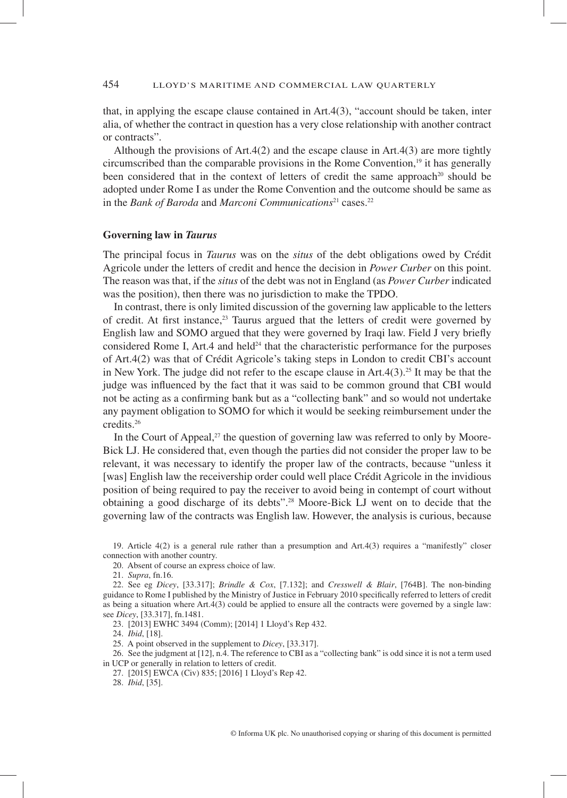that, in applying the escape clause contained in Art.4(3), "account should be taken, inter alia, of whether the contract in question has a very close relationship with another contract or contracts".

 Although the provisions of Art.4(2) and the escape clause in Art.4(3) are more tightly circumscribed than the comparable provisions in the Rome Convention, 19 it has generally been considered that in the context of letters of credit the same approach<sup>20</sup> should be adopted under Rome I as under the Rome Convention and the outcome should be same as in the *Bank of Baroda* and *Marconi Communications*<sup>21</sup> cases.<sup>22</sup>

### **Governing law in** *Taurus*

 The principal focus in *Taurus* was on the *situs* of the debt obligations owed by Crédit Agricole under the letters of credit and hence the decision in *Power Curber* on this point. The reason was that, if the *situs* of the debt was not in England (as *Power Curber* indicated was the position), then there was no jurisdiction to make the TPDO.

 In contrast, there is only limited discussion of the governing law applicable to the letters of credit. At first instance,  $23$  Taurus argued that the letters of credit were governed by English law and SOMO argued that they were governed by Iraqi law. Field J very briefly considered Rome I, Art.4 and held<sup>24</sup> that the characteristic performance for the purposes of Art.4(2) was that of Crédit Agricole's taking steps in London to credit CBI's account in New York. The judge did not refer to the escape clause in  $Art.4(3).^{25}$  It may be that the judge was influenced by the fact that it was said to be common ground that CBI would not be acting as a confirming bank but as a "collecting bank" and so would not undertake any payment obligation to SOMO for which it would be seeking reimbursement under the credits. 26

In the Court of Appeal, $^{27}$  the question of governing law was referred to only by Moore-Bick LJ. He considered that, even though the parties did not consider the proper law to be relevant, it was necessary to identify the proper law of the contracts, because "unless it [was] English law the receivership order could well place Crédit Agricole in the invidious position of being required to pay the receiver to avoid being in contempt of court without obtaining a good discharge of its debts". 28 Moore-Bick LJ went on to decide that the governing law of the contracts was English law. However, the analysis is curious, because

21 . *Supra* , fn.16.

23 . [2013] EWHC 3494 (Comm); [2014] 1 Lloyd's Rep 432 .

24 . *Ibid* , [18].

25 . A point observed in the supplement to *Dicey* , [33.317].

 26 . See the judgment at [12], n.4. The reference to CBI as a "collecting bank" is odd since it is not a term used in UCP or generally in relation to letters of credit.

28 . *Ibid* , [35].

 <sup>19 .</sup> Article 4(2) is a general rule rather than a presumption and Art.4(3) requires a "manifestly" closer connection with another country.

 <sup>20 .</sup> Absent of course an express choice of law.

 <sup>22 .</sup> See eg *Dicey* , [33.317]; *Brindle & Cox* , [7.132]; and *Cresswell & Blair* , [764B]. The non-binding guidance to Rome I published by the Ministry of Justice in February 2010 specifically referred to letters of credit as being a situation where Art.4(3) could be applied to ensure all the contracts were governed by a single law: see *Dicey* , [33.317], fn.1481.

 <sup>27 . [2015]</sup> EWCA (Civ) 835; [2016] 1 Lloyd's Rep 42 .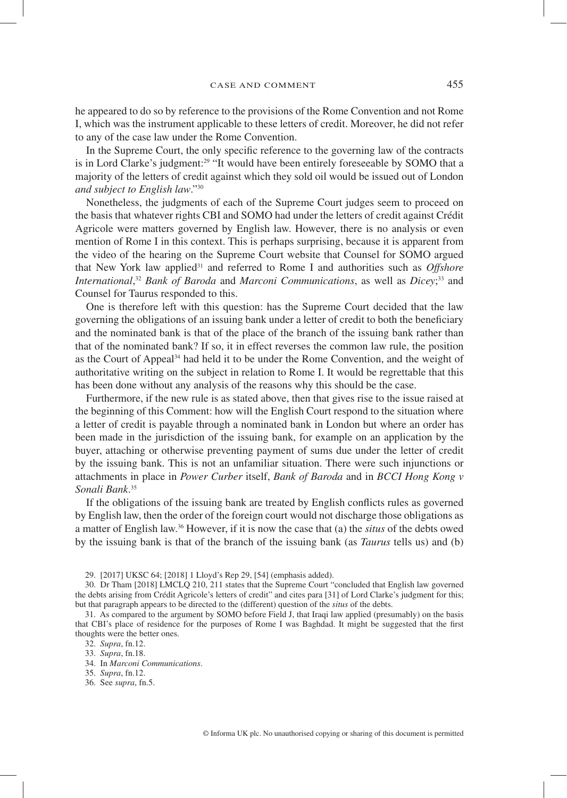he appeared to do so by reference to the provisions of the Rome Convention and not Rome I, which was the instrument applicable to these letters of credit. Moreover, he did not refer to any of the case law under the Rome Convention.

In the Supreme Court, the only specific reference to the governing law of the contracts is in Lord Clarke's judgment:<sup>29</sup> "It would have been entirely foreseeable by SOMO that a majority of the letters of credit against which they sold oil would be issued out of London *and subject to English law.*"<sup>30</sup>

 Nonetheless, the judgments of each of the Supreme Court judges seem to proceed on the basis that whatever rights CBI and SOMO had under the letters of credit against Crédit Agricole were matters governed by English law. However, there is no analysis or even mention of Rome I in this context. This is perhaps surprising, because it is apparent from the video of the hearing on the Supreme Court website that Counsel for SOMO argued that New York law applied<sup>31</sup> and referred to Rome I and authorities such as *Offshore International*,<sup>32</sup> *Bank of Baroda* and *Marconi Communications*, as well as *Dicey*;<sup>33</sup> and Counsel for Taurus responded to this.

 One is therefore left with this question: has the Supreme Court decided that the law governing the obligations of an issuing bank under a letter of credit to both the beneficiary and the nominated bank is that of the place of the branch of the issuing bank rather than that of the nominated bank? If so, it in effect reverses the common law rule, the position as the Court of Appeal<sup>34</sup> had held it to be under the Rome Convention, and the weight of authoritative writing on the subject in relation to Rome I. It would be regrettable that this has been done without any analysis of the reasons why this should be the case.

 Furthermore, if the new rule is as stated above, then that gives rise to the issue raised at the beginning of this Comment: how will the English Court respond to the situation where a letter of credit is payable through a nominated bank in London but where an order has been made in the jurisdiction of the issuing bank, for example on an application by the buyer, attaching or otherwise preventing payment of sums due under the letter of credit by the issuing bank. This is not an unfamiliar situation. There were such injunctions or attachments in place in *Power Curber* itself, *Bank of Baroda* and in *BCCI Hong Kong v*  Sonali Bank.<sup>35</sup>

If the obligations of the issuing bank are treated by English conflicts rules as governed by English law, then the order of the foreign court would not discharge those obligations as a matter of English law. 36 However, if it is now the case that (a) the *situs* of the debts owed by the issuing bank is that of the branch of the issuing bank (as *Taurus* tells us) and (b)

29 . [2017] UKSC 64; [2018] 1 Lloyd's Rep 29 , [54] (emphasis added).

- 33 . *Supra* , fn.18.
- 34 . In *Marconi Communications* .
- 35 . *Supra* , fn.12.
- 36 . See *supra* , fn.5.

 <sup>30 .</sup> Dr Tham [2018] LMCLQ 210 , 211 states that the Supreme Court "concluded that English law governed the debts arising from Crédit Agricole's letters of credit" and cites para [31] of Lord Clarke's judgment for this; but that paragraph appears to be directed to the (different) question of the *situs* of the debts.

 <sup>31 .</sup> As compared to the argument by SOMO before Field J, that Iraqi law applied (presumably) on the basis that CBI's place of residence for the purposes of Rome I was Baghdad. It might be suggested that the first thoughts were the better ones.

 <sup>32 .</sup> *Supra* , fn.12.